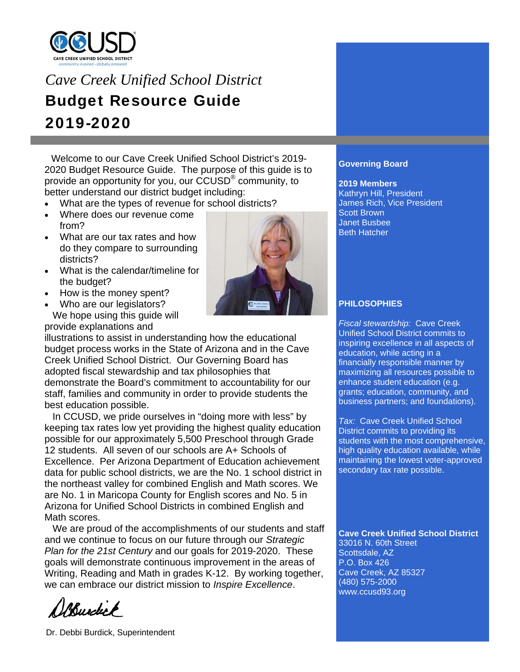

# *Cave Creek Unified School District*  Budget Resource Guide 2019-2020

 Welcome to our Cave Creek Unified School District's 2019- 2020 Budget Resource Guide. The purpose of this guide is to provide an opportunity for you, our CCUSD® community, to better understand our district budget including:

- What are the types of revenue for school districts?
- Where does our revenue come from?
- What are our tax rates and how do they compare to surrounding districts?
- What is the calendar/timeline for the budget?
- How is the money spent?
- Who are our legislators? We hope using this guide will provide explanations and

illustrations to assist in understanding how the educational budget process works in the State of Arizona and in the Cave Creek Unified School District. Our Governing Board has adopted fiscal stewardship and tax philosophies that demonstrate the Board's commitment to accountability for our staff, families and community in order to provide students the best education possible.

 In CCUSD, we pride ourselves in "doing more with less" by keeping tax rates low yet providing the highest quality education possible for our approximately 5,500 Preschool through Grade 12 students. All seven of our schools are A+ Schools of Excellence. Per Arizona Department of Education achievement data for public school districts, we are the No. 1 school district in the northeast valley for combined English and Math scores. We are No. 1 in Maricopa County for English scores and No. 5 in Arizona for Unified School Districts in combined English and Math scores.

 We are proud of the accomplishments of our students and staff and we continue to focus on our future through our *Strategic Plan for the 21st Century* and our goals for 2019-2020. These goals will demonstrate continuous improvement in the areas of Writing, Reading and Math in grades K-12. By working together, we can embrace our district mission to *Inspire Excellence*.

Portunity



**2019 Members**  Kathryn Hill, President James Rich, Vice President Scott Brown Janet Busbee Beth Hatcher

# **PHILOSOPHIES**

*Fiscal stewardship:* Cave Creek Unified School District commits to inspiring excellence in all aspects of education, while acting in a financially responsible manner by maximizing all resources possible to enhance student education (e.g. grants; education, community, and business partners; and foundations).

*Tax:* Cave Creek Unified School District commits to providing its students with the most comprehensive, high quality education available, while maintaining the lowest voter-approved secondary tax rate possible.

**Cave Creek Unified School District**  33016 N. 60th Street Scottsdale, AZ P.O. Box 426 Cave Creek, AZ 85327 (480) 575-2000 www.ccusd93.org

Dr. Debbi Burdick, Superintendent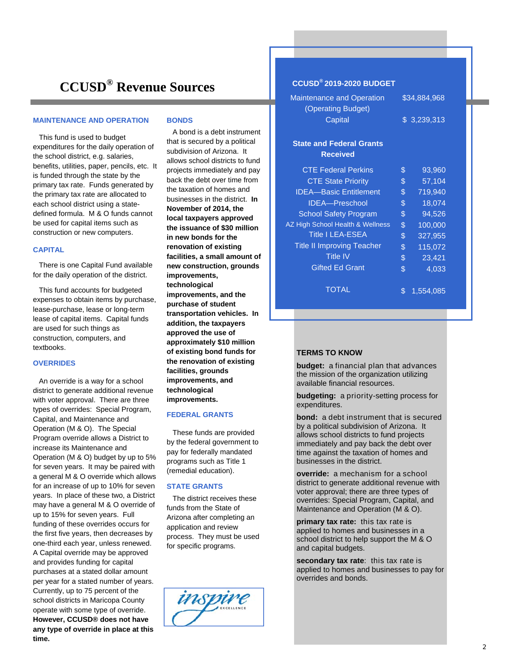# **CCUSD® Revenue Sources**

#### **MAINTENANCE AND OPERATION**

 This fund is used to budget expenditures for the daily operation of the school district, e.g. salaries, benefits, utilities, paper, pencils, etc. It is funded through the state by the primary tax rate. Funds generated by the primary tax rate are allocated to each school district using a statedefined formula. M & O funds cannot be used for capital items such as construction or new computers.

#### **CAPITAL**

 There is one Capital Fund available for the daily operation of the district.

 This fund accounts for budgeted expenses to obtain items by purchase, lease-purchase, lease or long-term lease of capital items. Capital funds are used for such things as construction, computers, and textbooks.

#### **OVERRIDES**

 An override is a way for a school district to generate additional revenue with voter approval. There are three types of overrides: Special Program, Capital, and Maintenance and Operation (M & O). The Special Program override allows a District to increase its Maintenance and Operation (M & O) budget by up to 5% for seven years. It may be paired with a general M & O override which allows for an increase of up to 10% for seven years. In place of these two, a District may have a general M & O override of up to 15% for seven years. Full funding of these overrides occurs for the first five years, then decreases by one-third each year, unless renewed. A Capital override may be approved and provides funding for capital purchases at a stated dollar amount per year for a stated number of years. Currently, up to 75 percent of the school districts in Maricopa County operate with some type of override. **However, CCUSD® does not have any type of override in place at this time.** 

#### **BONDS**

 A bond is a debt instrument that is secured by a political subdivision of Arizona. It allows school districts to fund projects immediately and pay back the debt over time from the taxation of homes and businesses in the district. **In November of 2014, the local taxpayers approved the issuance of \$30 million in new bonds for the renovation of existing facilities, a small amount of new construction, grounds improvements, technological improvements, and the purchase of student transportation vehicles. In addition, the taxpayers approved the use of approximately \$10 million of existing bond funds for the renovation of existing facilities, grounds improvements, and technological improvements.**

#### **FEDERAL GRANTS**

 These funds are provided by the federal government to pay for federally mandated programs such as Title 1 (remedial education).

#### **STATE GRANTS**

 The district receives these funds from the State of Arizona after completing an application and review process. They must be used for specific programs.



# **CCUSD® 2019-2020 BUDGET**

| <b>Maintenance and Operation</b><br>(Operating Budget)<br>Capital | \$34,884,968<br>\$3,239,313 |         |  |
|-------------------------------------------------------------------|-----------------------------|---------|--|
| <b>State and Federal Grants</b><br><b>Received</b>                |                             |         |  |
| <b>CTE Federal Perkins</b>                                        | \$                          | 93,960  |  |
| <b>CTE State Priority</b>                                         | \$                          | 57,104  |  |
| <b>IDEA-Basic Entitlement</b>                                     | \$                          | 719,940 |  |
| <b>IDEA-Preschool</b>                                             | \$                          | 18,074  |  |
| <b>School Safety Program</b>                                      | \$                          | 94,526  |  |
| AZ High School Health & Wellness                                  | \$                          | 100,000 |  |
| <b>Title I LEA-ESEA</b>                                           | \$                          | 327,955 |  |
| <b>Title II Improving Teacher</b>                                 | \$                          | 115,072 |  |
| <b>Title IV</b>                                                   | \$                          | 23,421  |  |
| <b>Gifted Ed Grant</b>                                            | \$                          | 4,033   |  |
| TOTAL                                                             | ዴ                           | 1554085 |  |

#### **TERMS TO KNOW**

**budget:** a financial plan that advances the mission of the organization utilizing available financial resources.

 $\overline{\$}$  1,554,085

**budgeting:** a priority-setting process for expenditures.

**bond:** a debt instrument that is secured by a political subdivision of Arizona. It allows school districts to fund projects immediately and pay back the debt over time against the taxation of homes and businesses in the district.

**override:** a mechanism for a school district to generate additional revenue with voter approval; there are three types of overrides: Special Program, Capital, and Maintenance and Operation (M & O).

**primary tax rate:** this tax rate is applied to homes and businesses in a school district to help support the M & O and capital budgets.

**secondary tax rate**: this tax rate is applied to homes and businesses to pay for overrides and bonds.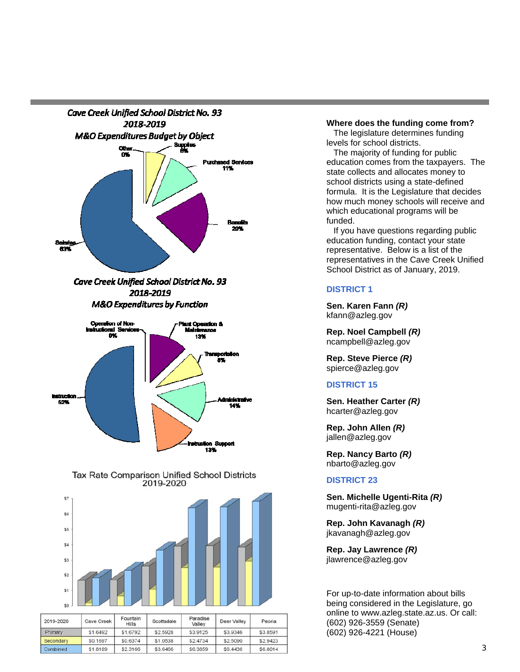





| 2019-2020 | Cave Creek | Fountain<br>Hills | Scottsdale | Paradise<br>Valley | Deer Valley | Peoria   |
|-----------|------------|-------------------|------------|--------------------|-------------|----------|
| Primary   | \$1.6492   | \$1,6792          | \$2.5928   | \$3.9125           | \$3.9346    | \$3,8591 |
| Secondary | \$0.1697   | \$0.6374          | \$1.0538   | \$2,4734           | \$2,5090    | \$2,9423 |
| Combined  | \$1.8189   | \$2,3166          | \$3.6466   | \$6,3859           | \$6,4436    | \$6,8014 |

#### **Where does the funding come from?**

 The legislature determines funding levels for school districts.

 The majority of funding for public education comes from the taxpayers. The state collects and allocates money to school districts using a state-defined formula. It is the Legislature that decides how much money schools will receive and which educational programs will be funded.

 If you have questions regarding public education funding, contact your state representative. Below is a list of the representatives in the Cave Creek Unified School District as of January, 2019.

### **DISTRICT 1**

**Sen. Karen Fann** *(R)* kfann@azleg.gov

**Rep. Noel Campbell** *(R)* ncampbell@azleg.gov

**Rep. Steve Pierce** *(R)* spierce@azleg.gov

# **DISTRICT 15**

**Sen. Heather Carter** *(R)* hcarter@azleg.gov

**Rep. John Allen** *(R)* jallen@azleg.gov

**Rep. Nancy Barto** *(R)* nbarto@azleg.gov

### **DISTRICT 23**

**Sen. Michelle Ugenti-Rita** *(R)* mugenti-rita@azleg.gov

**Rep. John Kavanagh** *(R)* jkavanagh@azleg.gov

**Rep. Jay Lawrence** *(R)* jlawrence@azleg.gov

For up-to-date information about bills being considered in the Legislature, go online to www.azleg.state.az.us. Or call: (602) 926-3559 (Senate) (602) 926-4221 (House)